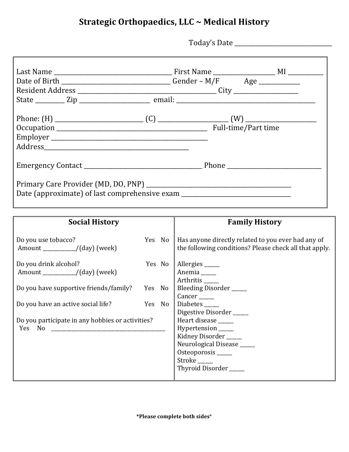## **Strategic Orthopaedics, LLC ~ Medical History**

Today's Date \_\_\_\_\_\_\_\_\_\_\_\_\_\_\_\_\_\_\_\_\_\_\_\_\_\_\_\_\_\_\_\_\_

|                                                                                  | Date of Birth ________________________________Gender – M/F Age __________________ |
|----------------------------------------------------------------------------------|-----------------------------------------------------------------------------------|
|                                                                                  |                                                                                   |
|                                                                                  |                                                                                   |
|                                                                                  |                                                                                   |
|                                                                                  |                                                                                   |
| Date (approximate) of last comprehensive exam __________________________________ |                                                                                   |

| <b>Social History</b>                                                                                                                                     |                  |        | <b>Family History</b>                                                                                                                                                                                                                                                                       |
|-----------------------------------------------------------------------------------------------------------------------------------------------------------|------------------|--------|---------------------------------------------------------------------------------------------------------------------------------------------------------------------------------------------------------------------------------------------------------------------------------------------|
| Do you use tobacco?                                                                                                                                       |                  | Yes No | Has anyone directly related to you ever had any of<br>the following conditions? Please check all that apply.                                                                                                                                                                                |
| Do you drink alcohol?<br>Do you have supportive friends/family?<br>Do you have an active social life?<br>Do you participate in any hobbies or activities? | Yes No<br>Yes No | Yes No | Allergies<br>Anemia _____<br>Arthritis_<br>Bleeding Disorder _____<br>$Cancer$ <sub>______</sub><br>Diabetes<br>Digestive Disorder<br>Heart disease _____<br>Hypertension _____<br>Kidney Disorder<br>Neurological Disease _____<br>Osteoporosis ______<br>Stroke _____<br>Thyroid Disorder |
|                                                                                                                                                           |                  |        |                                                                                                                                                                                                                                                                                             |